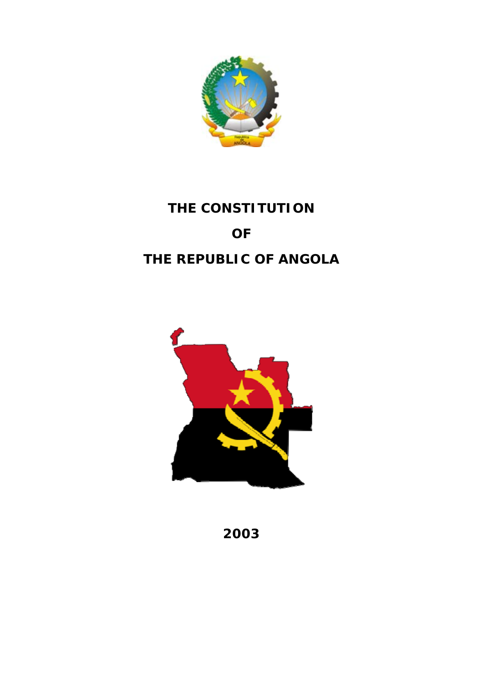

# **THE CONSTITUTION OF THE REPUBLIC OF ANGOLA**



**2003**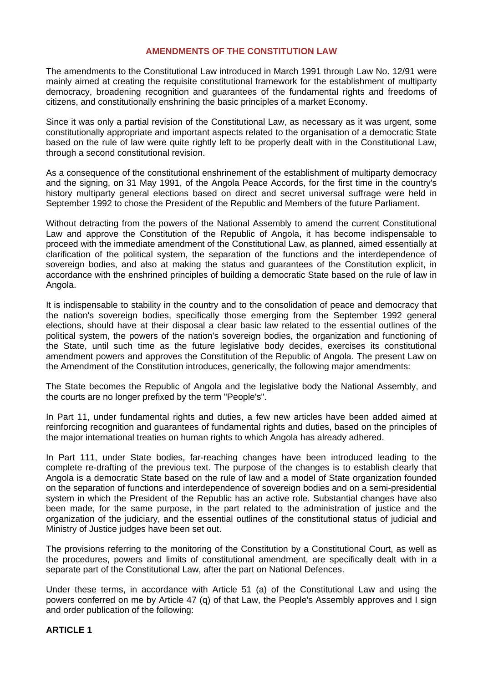## **AMENDMENTS OF THE CONSTITUTION LAW**

The amendments to the Constitutional Law introduced in March 1991 through Law No. 12/91 were mainly aimed at creating the requisite constitutional framework for the establishment of multiparty democracy, broadening recognition and guarantees of the fundamental rights and freedoms of citizens, and constitutionally enshrining the basic principles of a market Economy.

Since it was only a partial revision of the Constitutional Law, as necessary as it was urgent, some constitutionally appropriate and important aspects related to the organisation of a democratic State based on the rule of law were quite rightly left to be properly dealt with in the Constitutional Law, through a second constitutional revision.

As a consequence of the constitutional enshrinement of the establishment of multiparty democracy and the signing, on 31 May 1991, of the Angola Peace Accords, for the first time in the country's history multiparty general elections based on direct and secret universal suffrage were held in September 1992 to chose the President of the Republic and Members of the future Parliament.

Without detracting from the powers of the National Assembly to amend the current Constitutional Law and approve the Constitution of the Republic of Angola, it has become indispensable to proceed with the immediate amendment of the Constitutional Law, as planned, aimed essentially at clarification of the political system, the separation of the functions and the interdependence of sovereign bodies, and also at making the status and guarantees of the Constitution explicit, in accordance with the enshrined principles of building a democratic State based on the rule of law in Angola.

It is indispensable to stability in the country and to the consolidation of peace and democracy that the nation's sovereign bodies, specifically those emerging from the September 1992 general elections, should have at their disposal a clear basic law related to the essential outlines of the political system, the powers of the nation's sovereign bodies, the organization and functioning of the State, until such time as the future legislative body decides, exercises its constitutional amendment powers and approves the Constitution of the Republic of Angola. The present Law on the Amendment of the Constitution introduces, generically, the following major amendments:

The State becomes the Republic of Angola and the legislative body the National Assembly, and the courts are no longer prefixed by the term "People's".

In Part 11, under fundamental rights and duties, a few new articles have been added aimed at reinforcing recognition and guarantees of fundamental rights and duties, based on the principles of the major international treaties on human rights to which Angola has already adhered.

In Part 111, under State bodies, far-reaching changes have been introduced leading to the complete re-drafting of the previous text. The purpose of the changes is to establish clearly that Angola is a democratic State based on the rule of law and a model of State organization founded on the separation of functions and interdependence of sovereign bodies and on a semi-presidential system in which the President of the Republic has an active role. Substantial changes have also been made, for the same purpose, in the part related to the administration of justice and the organization of the judiciary, and the essential outlines of the constitutional status of judicial and Ministry of Justice judges have been set out.

The provisions referring to the monitoring of the Constitution by a Constitutional Court, as well as the procedures, powers and limits of constitutional amendment, are specifically dealt with in a separate part of the Constitutional Law, after the part on National Defences.

Under these terms, in accordance with Article 51 (a) of the Constitutional Law and using the powers conferred on me by Article 47 (q) of that Law, the People's Assembly approves and I sign and order publication of the following:

#### **ARTICLE 1**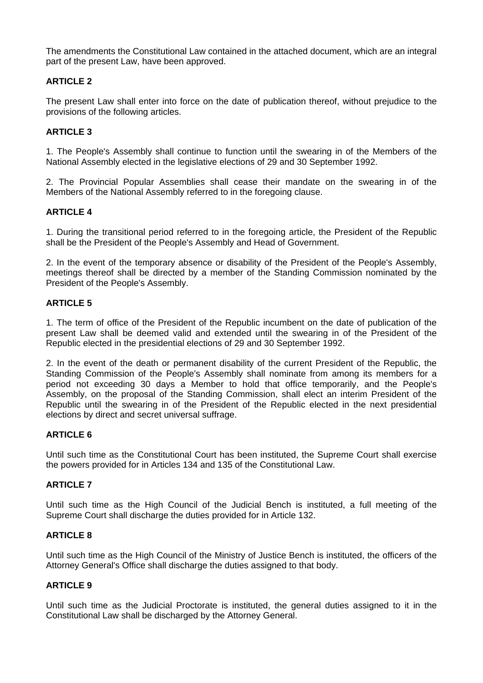The amendments the Constitutional Law contained in the attached document, which are an integral part of the present Law, have been approved.

# **ARTICLE 2**

The present Law shall enter into force on the date of publication thereof, without prejudice to the provisions of the following articles.

# **ARTICLE 3**

1. The People's Assembly shall continue to function until the swearing in of the Members of the National Assembly elected in the legislative elections of 29 and 30 September 1992.

2. The Provincial Popular Assemblies shall cease their mandate on the swearing in of the Members of the National Assembly referred to in the foregoing clause.

# **ARTICLE 4**

1. During the transitional period referred to in the foregoing article, the President of the Republic shall be the President of the People's Assembly and Head of Government.

2. In the event of the temporary absence or disability of the President of the People's Assembly, meetings thereof shall be directed by a member of the Standing Commission nominated by the President of the People's Assembly.

# **ARTICLE 5**

1. The term of office of the President of the Republic incumbent on the date of publication of the present Law shall be deemed valid and extended until the swearing in of the President of the Republic elected in the presidential elections of 29 and 30 September 1992.

2. In the event of the death or permanent disability of the current President of the Republic, the Standing Commission of the People's Assembly shall nominate from among its members for a period not exceeding 30 days a Member to hold that office temporarily, and the People's Assembly, on the proposal of the Standing Commission, shall elect an interim President of the Republic until the swearing in of the President of the Republic elected in the next presidential elections by direct and secret universal suffrage.

# **ARTICLE 6**

Until such time as the Constitutional Court has been instituted, the Supreme Court shall exercise the powers provided for in Articles 134 and 135 of the Constitutional Law.

# **ARTICLE 7**

Until such time as the High Council of the Judicial Bench is instituted, a full meeting of the Supreme Court shall discharge the duties provided for in Article 132.

# **ARTICLE 8**

Until such time as the High Council of the Ministry of Justice Bench is instituted, the officers of the Attorney General's Office shall discharge the duties assigned to that body.

# **ARTICLE 9**

Until such time as the Judicial Proctorate is instituted, the general duties assigned to it in the Constitutional Law shall be discharged by the Attorney General.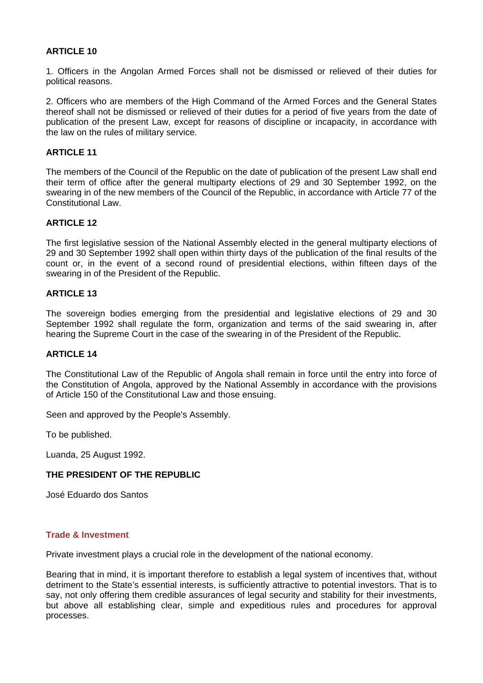# **ARTICLE 10**

1. Officers in the Angolan Armed Forces shall not be dismissed or relieved of their duties for political reasons.

2. Officers who are members of the High Command of the Armed Forces and the General States thereof shall not be dismissed or relieved of their duties for a period of five years from the date of publication of the present Law, except for reasons of discipline or incapacity, in accordance with the law on the rules of military service.

#### **ARTICLE 11**

The members of the Council of the Republic on the date of publication of the present Law shall end their term of office after the general multiparty elections of 29 and 30 September 1992, on the swearing in of the new members of the Council of the Republic, in accordance with Article 77 of the Constitutional Law.

## **ARTICLE 12**

The first legislative session of the National Assembly elected in the general multiparty elections of 29 and 30 September 1992 shall open within thirty days of the publication of the final results of the count or, in the event of a second round of presidential elections, within fifteen days of the swearing in of the President of the Republic.

## **ARTICLE 13**

The sovereign bodies emerging from the presidential and legislative elections of 29 and 30 September 1992 shall regulate the form, organization and terms of the said swearing in, after hearing the Supreme Court in the case of the swearing in of the President of the Republic.

## **ARTICLE 14**

The Constitutional Law of the Republic of Angola shall remain in force until the entry into force of the Constitution of Angola, approved by the National Assembly in accordance with the provisions of Article 150 of the Constitutional Law and those ensuing.

Seen and approved by the People's Assembly.

To be published.

Luanda, 25 August 1992.

# **THE PRESIDENT OF THE REPUBLIC**

José Eduardo dos Santos

#### **Trade & Investment**

Private investment plays a crucial role in the development of the national economy.

Bearing that in mind, it is important therefore to establish a legal system of incentives that, without detriment to the State's essential interests, is sufficiently attractive to potential investors. That is to say, not only offering them credible assurances of legal security and stability for their investments, but above all establishing clear, simple and expeditious rules and procedures for approval processes.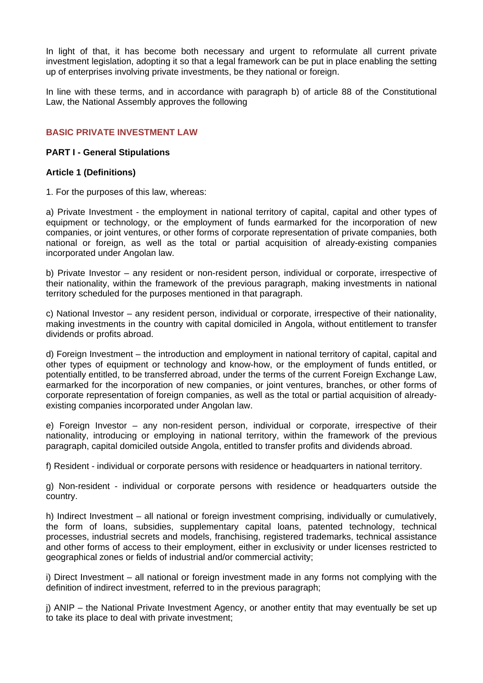In light of that, it has become both necessary and urgent to reformulate all current private investment legislation, adopting it so that a legal framework can be put in place enabling the setting up of enterprises involving private investments, be they national or foreign.

In line with these terms, and in accordance with paragraph b) of article 88 of the Constitutional Law, the National Assembly approves the following

# **BASIC PRIVATE INVESTMENT LAW**

## **PART I - General Stipulations**

## **Article 1 (Definitions)**

1. For the purposes of this law, whereas:

a) Private Investment - the employment in national territory of capital, capital and other types of equipment or technology, or the employment of funds earmarked for the incorporation of new companies, or joint ventures, or other forms of corporate representation of private companies, both national or foreign, as well as the total or partial acquisition of already-existing companies incorporated under Angolan law.

b) Private Investor – any resident or non-resident person, individual or corporate, irrespective of their nationality, within the framework of the previous paragraph, making investments in national territory scheduled for the purposes mentioned in that paragraph.

c) National Investor – any resident person, individual or corporate, irrespective of their nationality, making investments in the country with capital domiciled in Angola, without entitlement to transfer dividends or profits abroad.

d) Foreign Investment – the introduction and employment in national territory of capital, capital and other types of equipment or technology and know-how, or the employment of funds entitled, or potentially entitled, to be transferred abroad, under the terms of the current Foreign Exchange Law, earmarked for the incorporation of new companies, or joint ventures, branches, or other forms of corporate representation of foreign companies, as well as the total or partial acquisition of alreadyexisting companies incorporated under Angolan law.

e) Foreign Investor – any non-resident person, individual or corporate, irrespective of their nationality, introducing or employing in national territory, within the framework of the previous paragraph, capital domiciled outside Angola, entitled to transfer profits and dividends abroad.

f) Resident - individual or corporate persons with residence or headquarters in national territory.

g) Non-resident - individual or corporate persons with residence or headquarters outside the country.

h) Indirect Investment – all national or foreign investment comprising, individually or cumulatively, the form of loans, subsidies, supplementary capital loans, patented technology, technical processes, industrial secrets and models, franchising, registered trademarks, technical assistance and other forms of access to their employment, either in exclusivity or under licenses restricted to geographical zones or fields of industrial and/or commercial activity;

i) Direct Investment – all national or foreign investment made in any forms not complying with the definition of indirect investment, referred to in the previous paragraph;

j) ANIP – the National Private Investment Agency, or another entity that may eventually be set up to take its place to deal with private investment;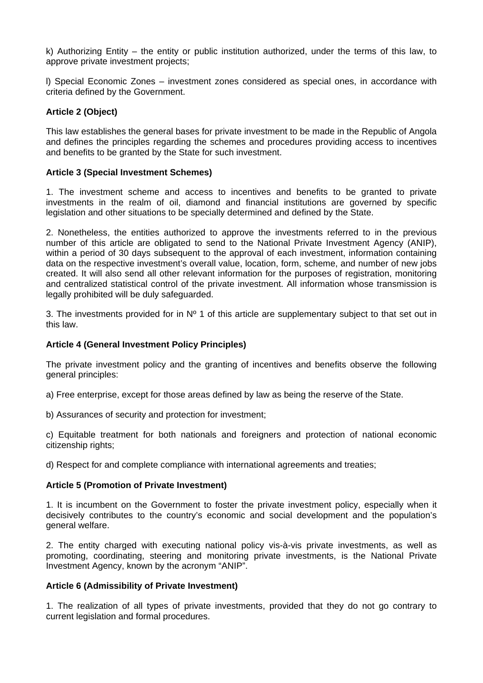k) Authorizing Entity – the entity or public institution authorized, under the terms of this law, to approve private investment projects;

l) Special Economic Zones – investment zones considered as special ones, in accordance with criteria defined by the Government.

# **Article 2 (Object)**

This law establishes the general bases for private investment to be made in the Republic of Angola and defines the principles regarding the schemes and procedures providing access to incentives and benefits to be granted by the State for such investment.

# **Article 3 (Special Investment Schemes)**

1. The investment scheme and access to incentives and benefits to be granted to private investments in the realm of oil, diamond and financial institutions are governed by specific legislation and other situations to be specially determined and defined by the State.

2. Nonetheless, the entities authorized to approve the investments referred to in the previous number of this article are obligated to send to the National Private Investment Agency (ANIP), within a period of 30 days subsequent to the approval of each investment, information containing data on the respective investment's overall value, location, form, scheme, and number of new jobs created. It will also send all other relevant information for the purposes of registration, monitoring and centralized statistical control of the private investment. All information whose transmission is legally prohibited will be duly safeguarded.

3. The investments provided for in  $N^{\circ}$  1 of this article are supplementary subject to that set out in this law.

# **Article 4 (General Investment Policy Principles)**

The private investment policy and the granting of incentives and benefits observe the following general principles:

a) Free enterprise, except for those areas defined by law as being the reserve of the State.

b) Assurances of security and protection for investment;

c) Equitable treatment for both nationals and foreigners and protection of national economic citizenship rights;

d) Respect for and complete compliance with international agreements and treaties;

#### **Article 5 (Promotion of Private Investment)**

1. It is incumbent on the Government to foster the private investment policy, especially when it decisively contributes to the country's economic and social development and the population's general welfare.

2. The entity charged with executing national policy vis-à-vis private investments, as well as promoting, coordinating, steering and monitoring private investments, is the National Private Investment Agency, known by the acronym "ANIP".

# **Article 6 (Admissibility of Private Investment)**

1. The realization of all types of private investments, provided that they do not go contrary to current legislation and formal procedures.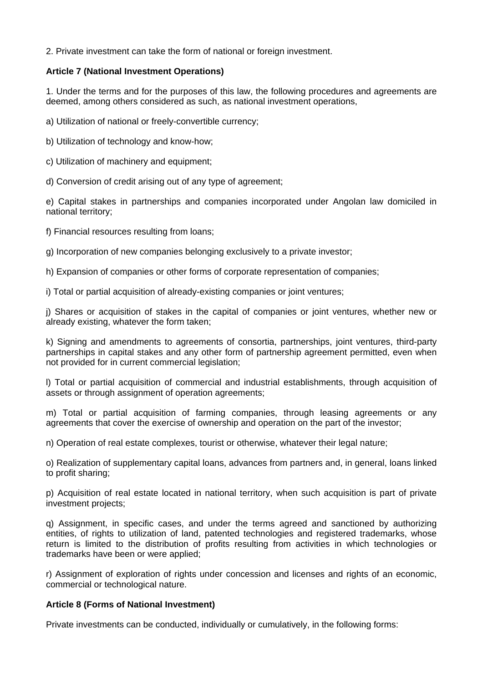2. Private investment can take the form of national or foreign investment.

## **Article 7 (National Investment Operations)**

1. Under the terms and for the purposes of this law, the following procedures and agreements are deemed, among others considered as such, as national investment operations,

a) Utilization of national or freely-convertible currency;

b) Utilization of technology and know-how;

c) Utilization of machinery and equipment;

d) Conversion of credit arising out of any type of agreement;

e) Capital stakes in partnerships and companies incorporated under Angolan law domiciled in national territory;

f) Financial resources resulting from loans;

g) Incorporation of new companies belonging exclusively to a private investor;

h) Expansion of companies or other forms of corporate representation of companies;

i) Total or partial acquisition of already-existing companies or joint ventures;

j) Shares or acquisition of stakes in the capital of companies or joint ventures, whether new or already existing, whatever the form taken;

k) Signing and amendments to agreements of consortia, partnerships, joint ventures, third-party partnerships in capital stakes and any other form of partnership agreement permitted, even when not provided for in current commercial legislation;

l) Total or partial acquisition of commercial and industrial establishments, through acquisition of assets or through assignment of operation agreements;

m) Total or partial acquisition of farming companies, through leasing agreements or any agreements that cover the exercise of ownership and operation on the part of the investor;

n) Operation of real estate complexes, tourist or otherwise, whatever their legal nature;

o) Realization of supplementary capital loans, advances from partners and, in general, loans linked to profit sharing;

p) Acquisition of real estate located in national territory, when such acquisition is part of private investment projects;

q) Assignment, in specific cases, and under the terms agreed and sanctioned by authorizing entities, of rights to utilization of land, patented technologies and registered trademarks, whose return is limited to the distribution of profits resulting from activities in which technologies or trademarks have been or were applied;

r) Assignment of exploration of rights under concession and licenses and rights of an economic, commercial or technological nature.

# **Article 8 (Forms of National Investment)**

Private investments can be conducted, individually or cumulatively, in the following forms: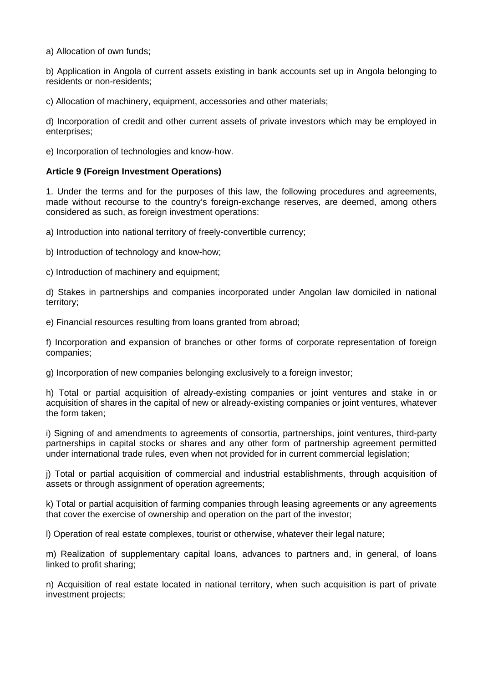a) Allocation of own funds;

b) Application in Angola of current assets existing in bank accounts set up in Angola belonging to residents or non-residents;

c) Allocation of machinery, equipment, accessories and other materials;

d) Incorporation of credit and other current assets of private investors which may be employed in enterprises;

e) Incorporation of technologies and know-how.

## **Article 9 (Foreign Investment Operations)**

1. Under the terms and for the purposes of this law, the following procedures and agreements, made without recourse to the country's foreign-exchange reserves, are deemed, among others considered as such, as foreign investment operations:

a) Introduction into national territory of freely-convertible currency;

b) Introduction of technology and know-how;

c) Introduction of machinery and equipment;

d) Stakes in partnerships and companies incorporated under Angolan law domiciled in national territory;

e) Financial resources resulting from loans granted from abroad;

f) Incorporation and expansion of branches or other forms of corporate representation of foreign companies;

g) Incorporation of new companies belonging exclusively to a foreign investor;

h) Total or partial acquisition of already-existing companies or joint ventures and stake in or acquisition of shares in the capital of new or already-existing companies or joint ventures, whatever the form taken;

i) Signing of and amendments to agreements of consortia, partnerships, joint ventures, third-party partnerships in capital stocks or shares and any other form of partnership agreement permitted under international trade rules, even when not provided for in current commercial legislation;

j) Total or partial acquisition of commercial and industrial establishments, through acquisition of assets or through assignment of operation agreements;

k) Total or partial acquisition of farming companies through leasing agreements or any agreements that cover the exercise of ownership and operation on the part of the investor;

l) Operation of real estate complexes, tourist or otherwise, whatever their legal nature;

m) Realization of supplementary capital loans, advances to partners and, in general, of loans linked to profit sharing;

n) Acquisition of real estate located in national territory, when such acquisition is part of private investment projects;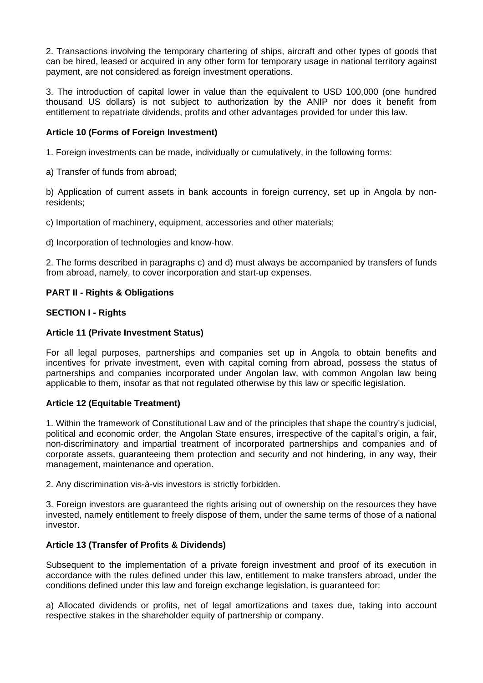2. Transactions involving the temporary chartering of ships, aircraft and other types of goods that can be hired, leased or acquired in any other form for temporary usage in national territory against payment, are not considered as foreign investment operations.

3. The introduction of capital lower in value than the equivalent to USD 100,000 (one hundred thousand US dollars) is not subject to authorization by the ANIP nor does it benefit from entitlement to repatriate dividends, profits and other advantages provided for under this law.

# **Article 10 (Forms of Foreign Investment)**

1. Foreign investments can be made, individually or cumulatively, in the following forms:

a) Transfer of funds from abroad;

b) Application of current assets in bank accounts in foreign currency, set up in Angola by nonresidents;

c) Importation of machinery, equipment, accessories and other materials;

d) Incorporation of technologies and know-how.

2. The forms described in paragraphs c) and d) must always be accompanied by transfers of funds from abroad, namely, to cover incorporation and start-up expenses.

# **PART II - Rights & Obligations**

# **SECTION I - Rights**

# **Article 11 (Private Investment Status)**

For all legal purposes, partnerships and companies set up in Angola to obtain benefits and incentives for private investment, even with capital coming from abroad, possess the status of partnerships and companies incorporated under Angolan law, with common Angolan law being applicable to them, insofar as that not regulated otherwise by this law or specific legislation.

# **Article 12 (Equitable Treatment)**

1. Within the framework of Constitutional Law and of the principles that shape the country's judicial, political and economic order, the Angolan State ensures, irrespective of the capital's origin, a fair, non-discriminatory and impartial treatment of incorporated partnerships and companies and of corporate assets, guaranteeing them protection and security and not hindering, in any way, their management, maintenance and operation.

2. Any discrimination vis-à-vis investors is strictly forbidden.

3. Foreign investors are guaranteed the rights arising out of ownership on the resources they have invested, namely entitlement to freely dispose of them, under the same terms of those of a national investor.

# **Article 13 (Transfer of Profits & Dividends)**

Subsequent to the implementation of a private foreign investment and proof of its execution in accordance with the rules defined under this law, entitlement to make transfers abroad, under the conditions defined under this law and foreign exchange legislation, is guaranteed for:

a) Allocated dividends or profits, net of legal amortizations and taxes due, taking into account respective stakes in the shareholder equity of partnership or company.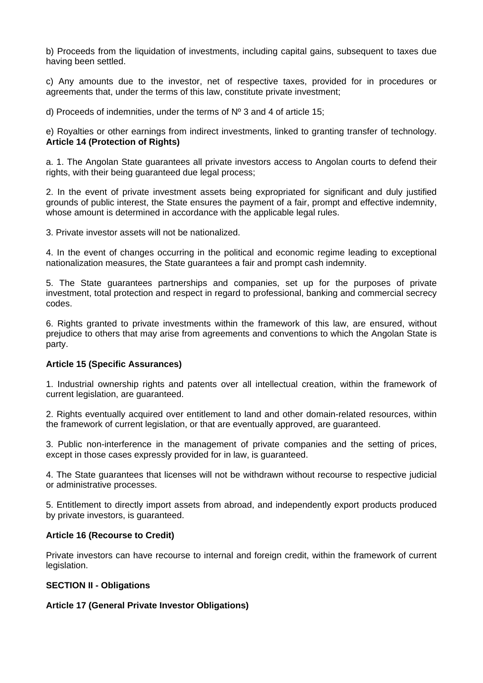b) Proceeds from the liquidation of investments, including capital gains, subsequent to taxes due having been settled.

c) Any amounts due to the investor, net of respective taxes, provided for in procedures or agreements that, under the terms of this law, constitute private investment;

d) Proceeds of indemnities, under the terms of Nº 3 and 4 of article 15;

e) Royalties or other earnings from indirect investments, linked to granting transfer of technology. **Article 14 (Protection of Rights)**

a. 1. The Angolan State guarantees all private investors access to Angolan courts to defend their rights, with their being guaranteed due legal process;

2. In the event of private investment assets being expropriated for significant and duly justified grounds of public interest, the State ensures the payment of a fair, prompt and effective indemnity, whose amount is determined in accordance with the applicable legal rules.

3. Private investor assets will not be nationalized.

4. In the event of changes occurring in the political and economic regime leading to exceptional nationalization measures, the State guarantees a fair and prompt cash indemnity.

5. The State guarantees partnerships and companies, set up for the purposes of private investment, total protection and respect in regard to professional, banking and commercial secrecy codes.

6. Rights granted to private investments within the framework of this law, are ensured, without prejudice to others that may arise from agreements and conventions to which the Angolan State is party.

#### **Article 15 (Specific Assurances)**

1. Industrial ownership rights and patents over all intellectual creation, within the framework of current legislation, are guaranteed.

2. Rights eventually acquired over entitlement to land and other domain-related resources, within the framework of current legislation, or that are eventually approved, are guaranteed.

3. Public non-interference in the management of private companies and the setting of prices, except in those cases expressly provided for in law, is guaranteed.

4. The State guarantees that licenses will not be withdrawn without recourse to respective judicial or administrative processes.

5. Entitlement to directly import assets from abroad, and independently export products produced by private investors, is guaranteed.

#### **Article 16 (Recourse to Credit)**

Private investors can have recourse to internal and foreign credit, within the framework of current legislation.

#### **SECTION II - Obligations**

# **Article 17 (General Private Investor Obligations)**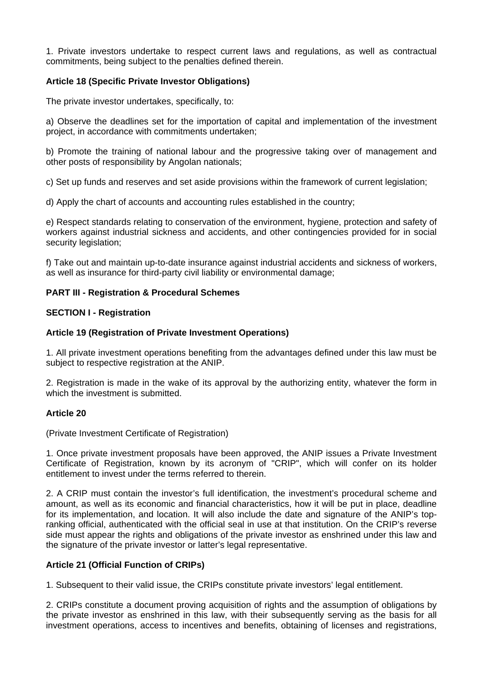1. Private investors undertake to respect current laws and regulations, as well as contractual commitments, being subject to the penalties defined therein.

# **Article 18 (Specific Private Investor Obligations)**

The private investor undertakes, specifically, to:

a) Observe the deadlines set for the importation of capital and implementation of the investment project, in accordance with commitments undertaken;

b) Promote the training of national labour and the progressive taking over of management and other posts of responsibility by Angolan nationals;

c) Set up funds and reserves and set aside provisions within the framework of current legislation;

d) Apply the chart of accounts and accounting rules established in the country;

e) Respect standards relating to conservation of the environment, hygiene, protection and safety of workers against industrial sickness and accidents, and other contingencies provided for in social security legislation;

f) Take out and maintain up-to-date insurance against industrial accidents and sickness of workers, as well as insurance for third-party civil liability or environmental damage;

# **PART III - Registration & Procedural Schemes**

# **SECTION I - Registration**

# **Article 19 (Registration of Private Investment Operations)**

1. All private investment operations benefiting from the advantages defined under this law must be subject to respective registration at the ANIP.

2. Registration is made in the wake of its approval by the authorizing entity, whatever the form in which the investment is submitted.

# **Article 20**

(Private Investment Certificate of Registration)

1. Once private investment proposals have been approved, the ANIP issues a Private Investment Certificate of Registration, known by its acronym of "CRIP", which will confer on its holder entitlement to invest under the terms referred to therein.

2. A CRIP must contain the investor's full identification, the investment's procedural scheme and amount, as well as its economic and financial characteristics, how it will be put in place, deadline for its implementation, and location. It will also include the date and signature of the ANIP's topranking official, authenticated with the official seal in use at that institution. On the CRIP's reverse side must appear the rights and obligations of the private investor as enshrined under this law and the signature of the private investor or latter's legal representative.

# **Article 21 (Official Function of CRIPs)**

1. Subsequent to their valid issue, the CRIPs constitute private investors' legal entitlement.

2. CRIPs constitute a document proving acquisition of rights and the assumption of obligations by the private investor as enshrined in this law, with their subsequently serving as the basis for all investment operations, access to incentives and benefits, obtaining of licenses and registrations,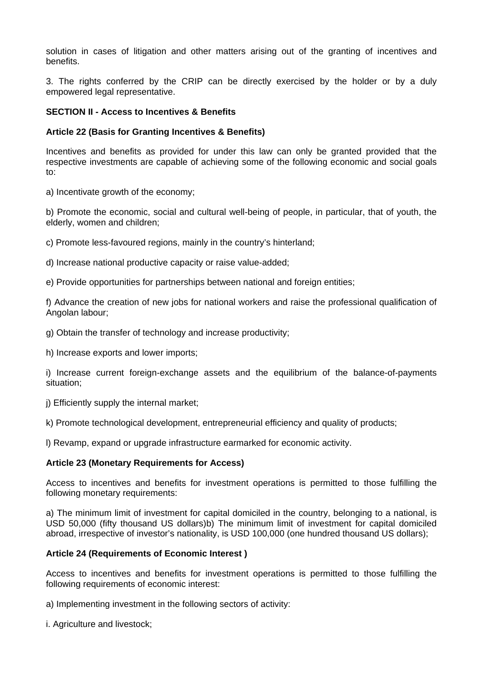solution in cases of litigation and other matters arising out of the granting of incentives and benefits.

3. The rights conferred by the CRIP can be directly exercised by the holder or by a duly empowered legal representative.

## **SECTION II - Access to Incentives & Benefits**

## **Article 22 (Basis for Granting Incentives & Benefits)**

Incentives and benefits as provided for under this law can only be granted provided that the respective investments are capable of achieving some of the following economic and social goals to:

a) Incentivate growth of the economy;

b) Promote the economic, social and cultural well-being of people, in particular, that of youth, the elderly, women and children;

c) Promote less-favoured regions, mainly in the country's hinterland;

d) Increase national productive capacity or raise value-added;

e) Provide opportunities for partnerships between national and foreign entities;

f) Advance the creation of new jobs for national workers and raise the professional qualification of Angolan labour;

g) Obtain the transfer of technology and increase productivity;

h) Increase exports and lower imports;

i) Increase current foreign-exchange assets and the equilibrium of the balance-of-payments situation;

j) Efficiently supply the internal market;

k) Promote technological development, entrepreneurial efficiency and quality of products;

l) Revamp, expand or upgrade infrastructure earmarked for economic activity.

# **Article 23 (Monetary Requirements for Access)**

Access to incentives and benefits for investment operations is permitted to those fulfilling the following monetary requirements:

a) The minimum limit of investment for capital domiciled in the country, belonging to a national, is USD 50,000 (fifty thousand US dollars)b) The minimum limit of investment for capital domiciled abroad, irrespective of investor's nationality, is USD 100,000 (one hundred thousand US dollars);

# **Article 24 (Requirements of Economic Interest )**

Access to incentives and benefits for investment operations is permitted to those fulfilling the following requirements of economic interest:

a) Implementing investment in the following sectors of activity:

i. Agriculture and livestock;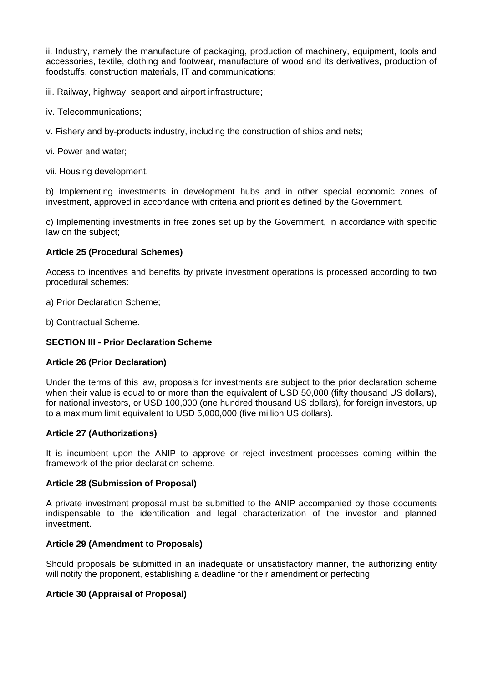ii. Industry, namely the manufacture of packaging, production of machinery, equipment, tools and accessories, textile, clothing and footwear, manufacture of wood and its derivatives, production of foodstuffs, construction materials, IT and communications;

iii. Railway, highway, seaport and airport infrastructure;

- iv. Telecommunications;
- v. Fishery and by-products industry, including the construction of ships and nets;

vi. Power and water;

vii. Housing development.

b) Implementing investments in development hubs and in other special economic zones of investment, approved in accordance with criteria and priorities defined by the Government.

c) Implementing investments in free zones set up by the Government, in accordance with specific law on the subject;

## **Article 25 (Procedural Schemes)**

Access to incentives and benefits by private investment operations is processed according to two procedural schemes:

a) Prior Declaration Scheme;

b) Contractual Scheme.

## **SECTION III - Prior Declaration Scheme**

# **Article 26 (Prior Declaration)**

Under the terms of this law, proposals for investments are subject to the prior declaration scheme when their value is equal to or more than the equivalent of USD 50,000 (fifty thousand US dollars), for national investors, or USD 100,000 (one hundred thousand US dollars), for foreign investors, up to a maximum limit equivalent to USD 5,000,000 (five million US dollars).

#### **Article 27 (Authorizations)**

It is incumbent upon the ANIP to approve or reject investment processes coming within the framework of the prior declaration scheme.

#### **Article 28 (Submission of Proposal)**

A private investment proposal must be submitted to the ANIP accompanied by those documents indispensable to the identification and legal characterization of the investor and planned investment.

# **Article 29 (Amendment to Proposals)**

Should proposals be submitted in an inadequate or unsatisfactory manner, the authorizing entity will notify the proponent, establishing a deadline for their amendment or perfecting.

# **Article 30 (Appraisal of Proposal)**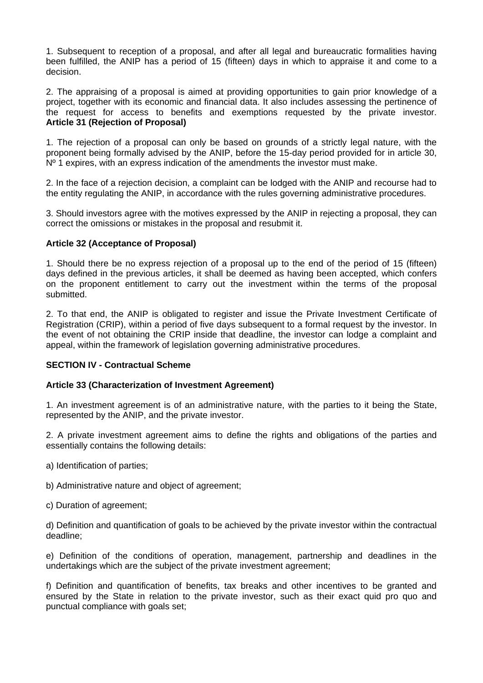1. Subsequent to reception of a proposal, and after all legal and bureaucratic formalities having been fulfilled, the ANIP has a period of 15 (fifteen) days in which to appraise it and come to a decision.

2. The appraising of a proposal is aimed at providing opportunities to gain prior knowledge of a project, together with its economic and financial data. It also includes assessing the pertinence of the request for access to benefits and exemptions requested by the private investor. **Article 31 (Rejection of Proposal)**

1. The rejection of a proposal can only be based on grounds of a strictly legal nature, with the proponent being formally advised by the ANIP, before the 15-day period provided for in article 30,  $N<sup>0</sup>$  1 expires, with an express indication of the amendments the investor must make.

2. In the face of a rejection decision, a complaint can be lodged with the ANIP and recourse had to the entity regulating the ANIP, in accordance with the rules governing administrative procedures.

3. Should investors agree with the motives expressed by the ANIP in rejecting a proposal, they can correct the omissions or mistakes in the proposal and resubmit it.

# **Article 32 (Acceptance of Proposal)**

1. Should there be no express rejection of a proposal up to the end of the period of 15 (fifteen) days defined in the previous articles, it shall be deemed as having been accepted, which confers on the proponent entitlement to carry out the investment within the terms of the proposal submitted.

2. To that end, the ANIP is obligated to register and issue the Private Investment Certificate of Registration (CRIP), within a period of five days subsequent to a formal request by the investor. In the event of not obtaining the CRIP inside that deadline, the investor can lodge a complaint and appeal, within the framework of legislation governing administrative procedures.

# **SECTION IV - Contractual Scheme**

# **Article 33 (Characterization of Investment Agreement)**

1. An investment agreement is of an administrative nature, with the parties to it being the State, represented by the ANIP, and the private investor.

2. A private investment agreement aims to define the rights and obligations of the parties and essentially contains the following details:

- a) Identification of parties;
- b) Administrative nature and object of agreement;
- c) Duration of agreement;

d) Definition and quantification of goals to be achieved by the private investor within the contractual deadline;

e) Definition of the conditions of operation, management, partnership and deadlines in the undertakings which are the subject of the private investment agreement;

f) Definition and quantification of benefits, tax breaks and other incentives to be granted and ensured by the State in relation to the private investor, such as their exact quid pro quo and punctual compliance with goals set;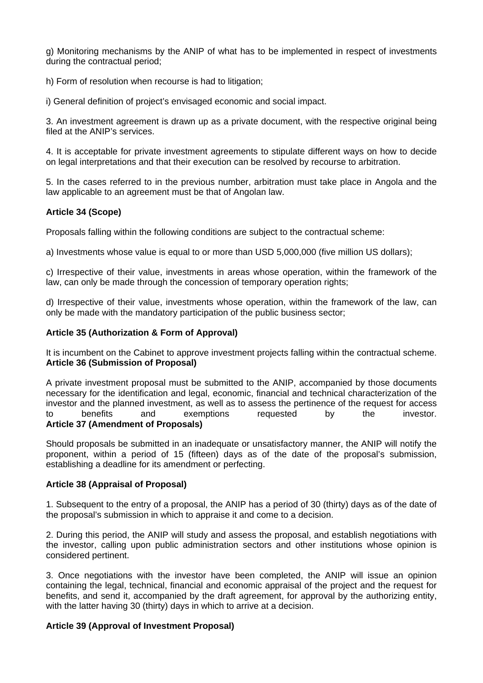g) Monitoring mechanisms by the ANIP of what has to be implemented in respect of investments during the contractual period;

h) Form of resolution when recourse is had to litigation;

i) General definition of project's envisaged economic and social impact.

3. An investment agreement is drawn up as a private document, with the respective original being filed at the ANIP's services.

4. It is acceptable for private investment agreements to stipulate different ways on how to decide on legal interpretations and that their execution can be resolved by recourse to arbitration.

5. In the cases referred to in the previous number, arbitration must take place in Angola and the law applicable to an agreement must be that of Angolan law.

# **Article 34 (Scope)**

Proposals falling within the following conditions are subject to the contractual scheme:

a) Investments whose value is equal to or more than USD 5,000,000 (five million US dollars);

c) Irrespective of their value, investments in areas whose operation, within the framework of the law, can only be made through the concession of temporary operation rights:

d) Irrespective of their value, investments whose operation, within the framework of the law, can only be made with the mandatory participation of the public business sector;

## **Article 35 (Authorization & Form of Approval)**

It is incumbent on the Cabinet to approve investment projects falling within the contractual scheme. **Article 36 (Submission of Proposal)**

A private investment proposal must be submitted to the ANIP, accompanied by those documents necessary for the identification and legal, economic, financial and technical characterization of the investor and the planned investment, as well as to assess the pertinence of the request for access<br>to benefits and exemptions requested by the investor. to benefits and exemptions requested by the investor. **Article 37 (Amendment of Proposals)**

Should proposals be submitted in an inadequate or unsatisfactory manner, the ANIP will notify the proponent, within a period of 15 (fifteen) days as of the date of the proposal's submission, establishing a deadline for its amendment or perfecting.

#### **Article 38 (Appraisal of Proposal)**

1. Subsequent to the entry of a proposal, the ANIP has a period of 30 (thirty) days as of the date of the proposal's submission in which to appraise it and come to a decision.

2. During this period, the ANIP will study and assess the proposal, and establish negotiations with the investor, calling upon public administration sectors and other institutions whose opinion is considered pertinent.

3. Once negotiations with the investor have been completed, the ANIP will issue an opinion containing the legal, technical, financial and economic appraisal of the project and the request for benefits, and send it, accompanied by the draft agreement, for approval by the authorizing entity, with the latter having 30 (thirty) days in which to arrive at a decision.

# **Article 39 (Approval of Investment Proposal)**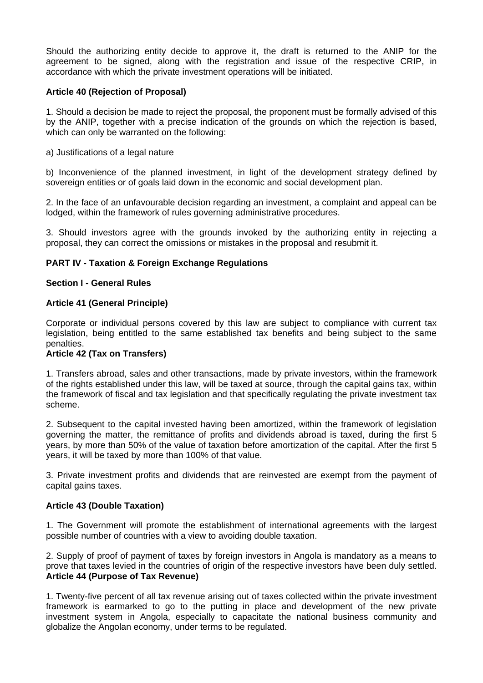Should the authorizing entity decide to approve it, the draft is returned to the ANIP for the agreement to be signed, along with the registration and issue of the respective CRIP, in accordance with which the private investment operations will be initiated.

# **Article 40 (Rejection of Proposal)**

1. Should a decision be made to reject the proposal, the proponent must be formally advised of this by the ANIP, together with a precise indication of the grounds on which the rejection is based, which can only be warranted on the following:

a) Justifications of a legal nature

b) Inconvenience of the planned investment, in light of the development strategy defined by sovereign entities or of goals laid down in the economic and social development plan.

2. In the face of an unfavourable decision regarding an investment, a complaint and appeal can be lodged, within the framework of rules governing administrative procedures.

3. Should investors agree with the grounds invoked by the authorizing entity in rejecting a proposal, they can correct the omissions or mistakes in the proposal and resubmit it.

# **PART IV - Taxation & Foreign Exchange Regulations**

## **Section I - General Rules**

## **Article 41 (General Principle)**

Corporate or individual persons covered by this law are subject to compliance with current tax legislation, being entitled to the same established tax benefits and being subject to the same penalties.

#### **Article 42 (Tax on Transfers)**

1. Transfers abroad, sales and other transactions, made by private investors, within the framework of the rights established under this law, will be taxed at source, through the capital gains tax, within the framework of fiscal and tax legislation and that specifically regulating the private investment tax scheme.

2. Subsequent to the capital invested having been amortized, within the framework of legislation governing the matter, the remittance of profits and dividends abroad is taxed, during the first 5 years, by more than 50% of the value of taxation before amortization of the capital. After the first 5 years, it will be taxed by more than 100% of that value.

3. Private investment profits and dividends that are reinvested are exempt from the payment of capital gains taxes.

# **Article 43 (Double Taxation)**

1. The Government will promote the establishment of international agreements with the largest possible number of countries with a view to avoiding double taxation.

2. Supply of proof of payment of taxes by foreign investors in Angola is mandatory as a means to prove that taxes levied in the countries of origin of the respective investors have been duly settled. **Article 44 (Purpose of Tax Revenue)**

1. Twenty-five percent of all tax revenue arising out of taxes collected within the private investment framework is earmarked to go to the putting in place and development of the new private investment system in Angola, especially to capacitate the national business community and globalize the Angolan economy, under terms to be regulated.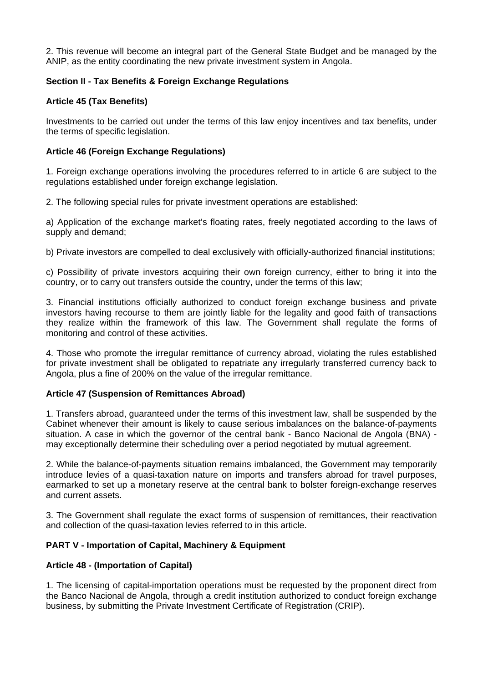2. This revenue will become an integral part of the General State Budget and be managed by the ANIP, as the entity coordinating the new private investment system in Angola.

# **Section II - Tax Benefits & Foreign Exchange Regulations**

# **Article 45 (Tax Benefits)**

Investments to be carried out under the terms of this law enjoy incentives and tax benefits, under the terms of specific legislation.

# **Article 46 (Foreign Exchange Regulations)**

1. Foreign exchange operations involving the procedures referred to in article 6 are subject to the regulations established under foreign exchange legislation.

2. The following special rules for private investment operations are established:

a) Application of the exchange market's floating rates, freely negotiated according to the laws of supply and demand;

b) Private investors are compelled to deal exclusively with officially-authorized financial institutions;

c) Possibility of private investors acquiring their own foreign currency, either to bring it into the country, or to carry out transfers outside the country, under the terms of this law;

3. Financial institutions officially authorized to conduct foreign exchange business and private investors having recourse to them are jointly liable for the legality and good faith of transactions they realize within the framework of this law. The Government shall regulate the forms of monitoring and control of these activities.

4. Those who promote the irregular remittance of currency abroad, violating the rules established for private investment shall be obligated to repatriate any irregularly transferred currency back to Angola, plus a fine of 200% on the value of the irregular remittance.

# **Article 47 (Suspension of Remittances Abroad)**

1. Transfers abroad, guaranteed under the terms of this investment law, shall be suspended by the Cabinet whenever their amount is likely to cause serious imbalances on the balance-of-payments situation. A case in which the governor of the central bank - Banco Nacional de Angola (BNA) may exceptionally determine their scheduling over a period negotiated by mutual agreement.

2. While the balance-of-payments situation remains imbalanced, the Government may temporarily introduce levies of a quasi-taxation nature on imports and transfers abroad for travel purposes, earmarked to set up a monetary reserve at the central bank to bolster foreign-exchange reserves and current assets.

3. The Government shall regulate the exact forms of suspension of remittances, their reactivation and collection of the quasi-taxation levies referred to in this article.

# **PART V - Importation of Capital, Machinery & Equipment**

# **Article 48 - (Importation of Capital)**

1. The licensing of capital-importation operations must be requested by the proponent direct from the Banco Nacional de Angola, through a credit institution authorized to conduct foreign exchange business, by submitting the Private Investment Certificate of Registration (CRIP).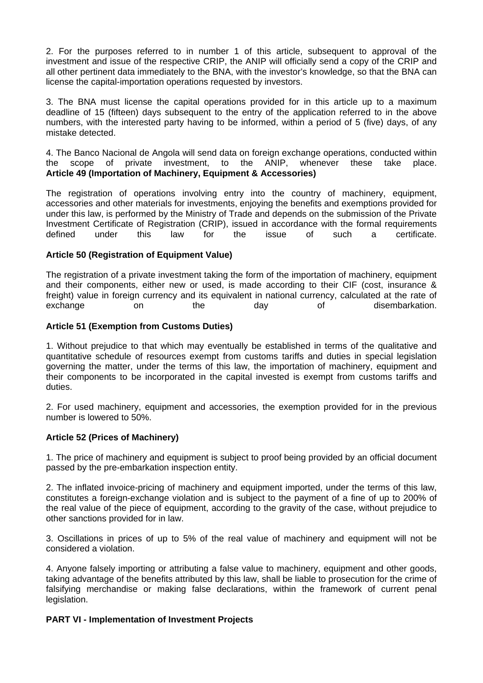2. For the purposes referred to in number 1 of this article, subsequent to approval of the investment and issue of the respective CRIP, the ANIP will officially send a copy of the CRIP and all other pertinent data immediately to the BNA, with the investor's knowledge, so that the BNA can license the capital-importation operations requested by investors.

3. The BNA must license the capital operations provided for in this article up to a maximum deadline of 15 (fifteen) days subsequent to the entry of the application referred to in the above numbers, with the interested party having to be informed, within a period of 5 (five) days, of any mistake detected.

4. The Banco Nacional de Angola will send data on foreign exchange operations, conducted within the scope of private investment, to the ANIP, whenever these take place. **Article 49 (Importation of Machinery, Equipment & Accessories)**

The registration of operations involving entry into the country of machinery, equipment, accessories and other materials for investments, enjoying the benefits and exemptions provided for under this law, is performed by the Ministry of Trade and depends on the submission of the Private Investment Certificate of Registration (CRIP), issued in accordance with the formal requirements defined under this law for the issue of such a certificate.

# **Article 50 (Registration of Equipment Value)**

The registration of a private investment taking the form of the importation of machinery, equipment and their components, either new or used, is made according to their CIF (cost, insurance & freight) value in foreign currency and its equivalent in national currency, calculated at the rate of exchange on the day of disembarkation.

# **Article 51 (Exemption from Customs Duties)**

1. Without prejudice to that which may eventually be established in terms of the qualitative and quantitative schedule of resources exempt from customs tariffs and duties in special legislation governing the matter, under the terms of this law, the importation of machinery, equipment and their components to be incorporated in the capital invested is exempt from customs tariffs and duties.

2. For used machinery, equipment and accessories, the exemption provided for in the previous number is lowered to 50%.

# **Article 52 (Prices of Machinery)**

1. The price of machinery and equipment is subject to proof being provided by an official document passed by the pre-embarkation inspection entity.

2. The inflated invoice-pricing of machinery and equipment imported, under the terms of this law, constitutes a foreign-exchange violation and is subject to the payment of a fine of up to 200% of the real value of the piece of equipment, according to the gravity of the case, without prejudice to other sanctions provided for in law.

3. Oscillations in prices of up to 5% of the real value of machinery and equipment will not be considered a violation.

4. Anyone falsely importing or attributing a false value to machinery, equipment and other goods, taking advantage of the benefits attributed by this law, shall be liable to prosecution for the crime of falsifying merchandise or making false declarations, within the framework of current penal legislation.

# **PART VI - Implementation of Investment Projects**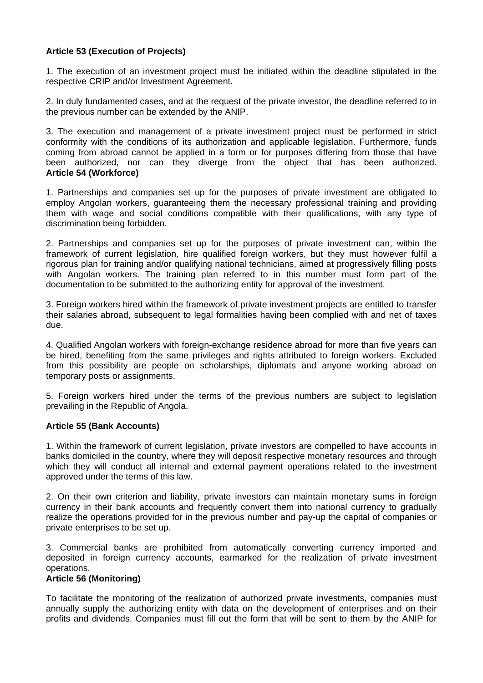# **Article 53 (Execution of Projects)**

1. The execution of an investment project must be initiated within the deadline stipulated in the respective CRIP and/or Investment Agreement.

2. In duly fundamented cases, and at the request of the private investor, the deadline referred to in the previous number can be extended by the ANIP.

3. The execution and management of a private investment project must be performed in strict conformity with the conditions of its authorization and applicable legislation. Furthermore, funds coming from abroad cannot be applied in a form or for purposes differing from those that have been authorized, nor can they diverge from the object that has been authorized. **Article 54 (Workforce)**

1. Partnerships and companies set up for the purposes of private investment are obligated to employ Angolan workers, guaranteeing them the necessary professional training and providing them with wage and social conditions compatible with their qualifications, with any type of discrimination being forbidden.

2. Partnerships and companies set up for the purposes of private investment can, within the framework of current legislation, hire qualified foreign workers, but they must however fulfil a rigorous plan for training and/or qualifying national technicians, aimed at progressively filling posts with Angolan workers. The training plan referred to in this number must form part of the documentation to be submitted to the authorizing entity for approval of the investment.

3. Foreign workers hired within the framework of private investment projects are entitled to transfer their salaries abroad, subsequent to legal formalities having been complied with and net of taxes due.

4. Qualified Angolan workers with foreign-exchange residence abroad for more than five years can be hired, benefiting from the same privileges and rights attributed to foreign workers. Excluded from this possibility are people on scholarships, diplomats and anyone working abroad on temporary posts or assignments.

5. Foreign workers hired under the terms of the previous numbers are subject to legislation prevailing in the Republic of Angola.

# **Article 55 (Bank Accounts)**

1. Within the framework of current legislation, private investors are compelled to have accounts in banks domiciled in the country, where they will deposit respective monetary resources and through which they will conduct all internal and external payment operations related to the investment approved under the terms of this law.

2. On their own criterion and liability, private investors can maintain monetary sums in foreign currency in their bank accounts and frequently convert them into national currency to gradually realize the operations provided for in the previous number and pay-up the capital of companies or private enterprises to be set up.

3. Commercial banks are prohibited from automatically converting currency imported and deposited in foreign currency accounts, earmarked for the realization of private investment operations.

#### **Article 56 (Monitoring)**

To facilitate the monitoring of the realization of authorized private investments, companies must annually supply the authorizing entity with data on the development of enterprises and on their profits and dividends. Companies must fill out the form that will be sent to them by the ANIP for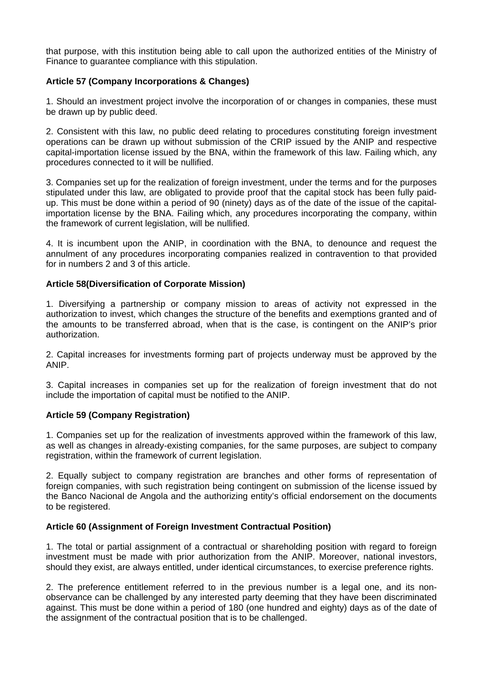that purpose, with this institution being able to call upon the authorized entities of the Ministry of Finance to guarantee compliance with this stipulation.

# **Article 57 (Company Incorporations & Changes)**

1. Should an investment project involve the incorporation of or changes in companies, these must be drawn up by public deed.

2. Consistent with this law, no public deed relating to procedures constituting foreign investment operations can be drawn up without submission of the CRIP issued by the ANIP and respective capital-importation license issued by the BNA, within the framework of this law. Failing which, any procedures connected to it will be nullified.

3. Companies set up for the realization of foreign investment, under the terms and for the purposes stipulated under this law, are obligated to provide proof that the capital stock has been fully paidup. This must be done within a period of 90 (ninety) days as of the date of the issue of the capitalimportation license by the BNA. Failing which, any procedures incorporating the company, within the framework of current legislation, will be nullified.

4. It is incumbent upon the ANIP, in coordination with the BNA, to denounce and request the annulment of any procedures incorporating companies realized in contravention to that provided for in numbers 2 and 3 of this article.

# **Article 58(Diversification of Corporate Mission)**

1. Diversifying a partnership or company mission to areas of activity not expressed in the authorization to invest, which changes the structure of the benefits and exemptions granted and of the amounts to be transferred abroad, when that is the case, is contingent on the ANIP's prior authorization.

2. Capital increases for investments forming part of projects underway must be approved by the ANIP.

3. Capital increases in companies set up for the realization of foreign investment that do not include the importation of capital must be notified to the ANIP.

# **Article 59 (Company Registration)**

1. Companies set up for the realization of investments approved within the framework of this law, as well as changes in already-existing companies, for the same purposes, are subject to company registration, within the framework of current legislation.

2. Equally subject to company registration are branches and other forms of representation of foreign companies, with such registration being contingent on submission of the license issued by the Banco Nacional de Angola and the authorizing entity's official endorsement on the documents to be registered.

# **Article 60 (Assignment of Foreign Investment Contractual Position)**

1. The total or partial assignment of a contractual or shareholding position with regard to foreign investment must be made with prior authorization from the ANIP. Moreover, national investors, should they exist, are always entitled, under identical circumstances, to exercise preference rights.

2. The preference entitlement referred to in the previous number is a legal one, and its nonobservance can be challenged by any interested party deeming that they have been discriminated against. This must be done within a period of 180 (one hundred and eighty) days as of the date of the assignment of the contractual position that is to be challenged.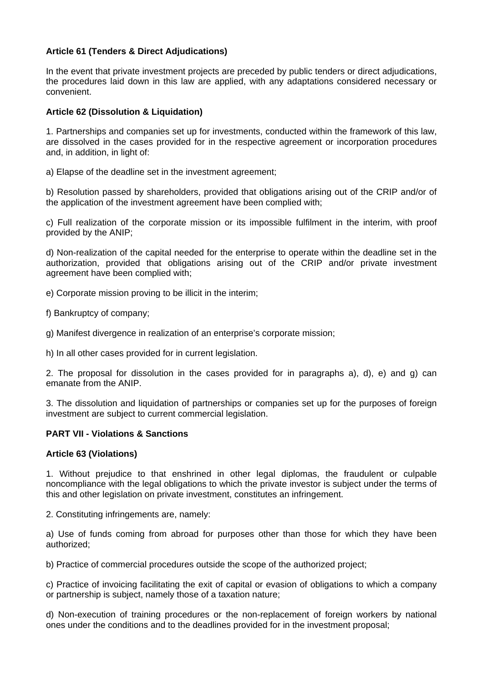# **Article 61 (Tenders & Direct Adjudications)**

In the event that private investment projects are preceded by public tenders or direct adjudications, the procedures laid down in this law are applied, with any adaptations considered necessary or convenient.

# **Article 62 (Dissolution & Liquidation)**

1. Partnerships and companies set up for investments, conducted within the framework of this law, are dissolved in the cases provided for in the respective agreement or incorporation procedures and, in addition, in light of:

a) Elapse of the deadline set in the investment agreement;

b) Resolution passed by shareholders, provided that obligations arising out of the CRIP and/or of the application of the investment agreement have been complied with;

c) Full realization of the corporate mission or its impossible fulfilment in the interim, with proof provided by the ANIP;

d) Non-realization of the capital needed for the enterprise to operate within the deadline set in the authorization, provided that obligations arising out of the CRIP and/or private investment agreement have been complied with;

e) Corporate mission proving to be illicit in the interim;

f) Bankruptcy of company;

g) Manifest divergence in realization of an enterprise's corporate mission;

h) In all other cases provided for in current legislation.

2. The proposal for dissolution in the cases provided for in paragraphs a), d), e) and g) can emanate from the ANIP.

3. The dissolution and liquidation of partnerships or companies set up for the purposes of foreign investment are subject to current commercial legislation.

# **PART VII - Violations & Sanctions**

# **Article 63 (Violations)**

1. Without prejudice to that enshrined in other legal diplomas, the fraudulent or culpable noncompliance with the legal obligations to which the private investor is subject under the terms of this and other legislation on private investment, constitutes an infringement.

2. Constituting infringements are, namely:

a) Use of funds coming from abroad for purposes other than those for which they have been authorized;

b) Practice of commercial procedures outside the scope of the authorized project;

c) Practice of invoicing facilitating the exit of capital or evasion of obligations to which a company or partnership is subject, namely those of a taxation nature;

d) Non-execution of training procedures or the non-replacement of foreign workers by national ones under the conditions and to the deadlines provided for in the investment proposal;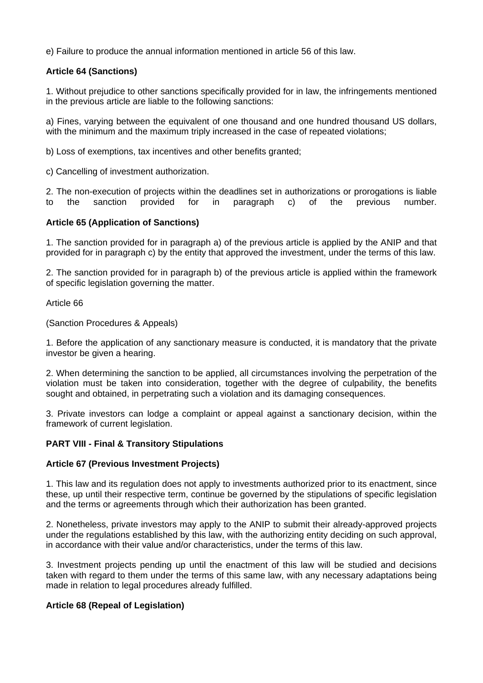e) Failure to produce the annual information mentioned in article 56 of this law.

# **Article 64 (Sanctions)**

1. Without prejudice to other sanctions specifically provided for in law, the infringements mentioned in the previous article are liable to the following sanctions:

a) Fines, varying between the equivalent of one thousand and one hundred thousand US dollars, with the minimum and the maximum triply increased in the case of repeated violations;

b) Loss of exemptions, tax incentives and other benefits granted;

c) Cancelling of investment authorization.

2. The non-execution of projects within the deadlines set in authorizations or prorogations is liable to the sanction provided for in paragraph c) of the previous number.

# **Article 65 (Application of Sanctions)**

1. The sanction provided for in paragraph a) of the previous article is applied by the ANIP and that provided for in paragraph c) by the entity that approved the investment, under the terms of this law.

2. The sanction provided for in paragraph b) of the previous article is applied within the framework of specific legislation governing the matter.

Article 66

(Sanction Procedures & Appeals)

1. Before the application of any sanctionary measure is conducted, it is mandatory that the private investor be given a hearing.

2. When determining the sanction to be applied, all circumstances involving the perpetration of the violation must be taken into consideration, together with the degree of culpability, the benefits sought and obtained, in perpetrating such a violation and its damaging consequences.

3. Private investors can lodge a complaint or appeal against a sanctionary decision, within the framework of current legislation.

# **PART VIII - Final & Transitory Stipulations**

#### **Article 67 (Previous Investment Projects)**

1. This law and its regulation does not apply to investments authorized prior to its enactment, since these, up until their respective term, continue be governed by the stipulations of specific legislation and the terms or agreements through which their authorization has been granted.

2. Nonetheless, private investors may apply to the ANIP to submit their already-approved projects under the regulations established by this law, with the authorizing entity deciding on such approval, in accordance with their value and/or characteristics, under the terms of this law.

3. Investment projects pending up until the enactment of this law will be studied and decisions taken with regard to them under the terms of this same law, with any necessary adaptations being made in relation to legal procedures already fulfilled.

# **Article 68 (Repeal of Legislation)**